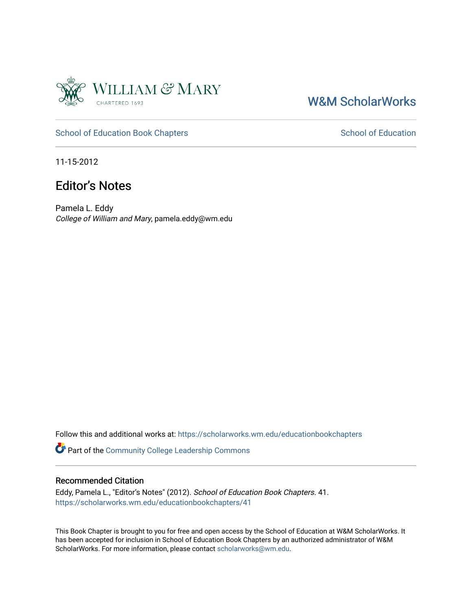

## [W&M ScholarWorks](https://scholarworks.wm.edu/)

#### [School of Education Book Chapters](https://scholarworks.wm.edu/educationbookchapters) [School of Education](https://scholarworks.wm.edu/education) School of Education

11-15-2012

### Editor's Notes

Pamela L. Eddy College of William and Mary, pamela.eddy@wm.edu

Follow this and additional works at: [https://scholarworks.wm.edu/educationbookchapters](https://scholarworks.wm.edu/educationbookchapters?utm_source=scholarworks.wm.edu%2Feducationbookchapters%2F41&utm_medium=PDF&utm_campaign=PDFCoverPages)

Part of the [Community College Leadership Commons](http://network.bepress.com/hgg/discipline/1039?utm_source=scholarworks.wm.edu%2Feducationbookchapters%2F41&utm_medium=PDF&utm_campaign=PDFCoverPages)

#### Recommended Citation

Eddy, Pamela L., "Editor's Notes" (2012). School of Education Book Chapters. 41. [https://scholarworks.wm.edu/educationbookchapters/41](https://scholarworks.wm.edu/educationbookchapters/41?utm_source=scholarworks.wm.edu%2Feducationbookchapters%2F41&utm_medium=PDF&utm_campaign=PDFCoverPages) 

This Book Chapter is brought to you for free and open access by the School of Education at W&M ScholarWorks. It has been accepted for inclusion in School of Education Book Chapters by an authorized administrator of W&M ScholarWorks. For more information, please contact [scholarworks@wm.edu.](mailto:scholarworks@wm.edu)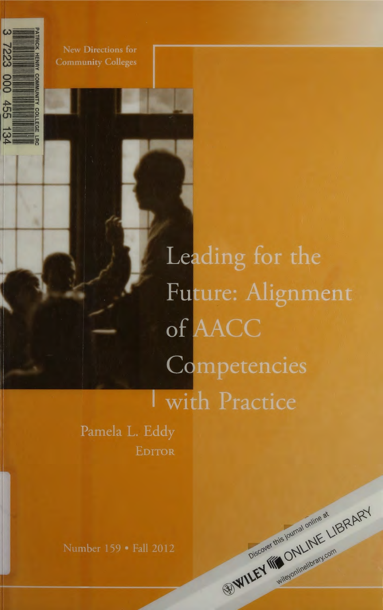

New Directions for **Community Colleges** 

> Leading for the Future: Alignment of AACC Competencies With Practice

> > WILEY MONUNE LIBRARY

Pamela L. Eddy EDITOR

Number 159 · Fall 2012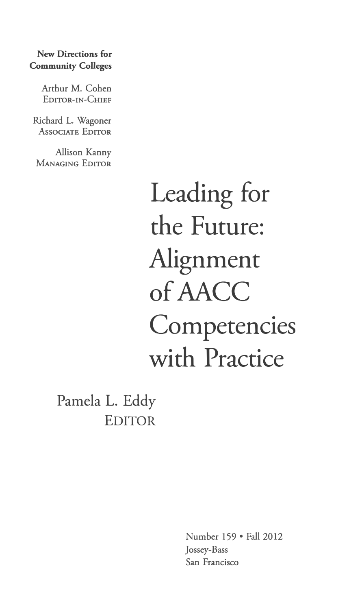### **New Directions for Community Colleges**

Arthur M. Cohen **EDITOR-IN-CHIEF** 

Richard L. Wagoner **ASSOCIATE EDITOR** 

Allison Kanny **MANAGING EDITOR** 

> Leading for the Future: Alignment of AACC **Competencies** with Practice

Pamela L. Eddy EDITOR

> Number 159 • Fall 2012 Jossey-Bass San Francisco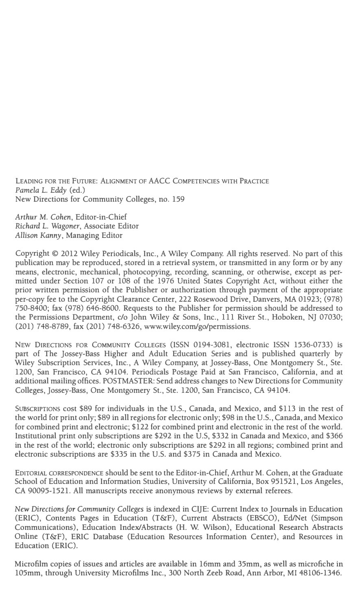LEADING FOR THE FUTURE: ALIGNMENT OF AACC COMPETENCIES WITH PRACTICE *Pamela* L. *Eddy* (ed.) New Directions for Community Colleges, no. 159

*Arthur* M. *Cohen,* Editor-in-Chief *Richard* L. *Wagoner,* Associate Editor *Allison Kanny,* Managing Editor

Copyright© 2012 Wiley Periodicals, Inc., A Wiley Company. All rights reserved. No part of this publication may be reproduced, stored in a retrieval system, or transmitted in any form or by any means, electronic, mechanical, photocopying, recording, scanning, or otherwise, except as permitted under Section 107 or 108 of the 1976 United States Copyright Act, without either the prior written permission of the Publisher or authorization through payment of the appropriate per-copy fee to the Copyright Clearance Center, 222 Rosewood Drive, Danvers, MA 01923; (978) 750-8400; fax (978) 646-8600. Requests to the Publisher for permission should be addressed to the Permissions Department, *do* John Wiley &: Sons, Inc., 111 River St., Hoboken, NJ 07030; (201) 748-8789, fax (201) 748-6326, www.wiley.com/go/permissions.

NEW DIRECTIONS FOR COMMUNITY COLLEGES (ISSN 0194-3081, electronic ISSN 1536-0733) is part of The Jossey-Bass Higher and Adult Education Series and is published quarterly by Wiley Subscription Services, Inc., A Wiley Company, at Jossey-Bass, One Montgomery St., Ste. 1200, San Francisco, CA 94104. Periodicals Postage Paid at San Francisco, California, and at additional mailing offices. POSTMASTER: Send address changes to New Directions for Community Colleges, Jossey-Bass, One Montgomery St., Ste. 1200, San Francisco, CA 94104.

SUBSCRIPTIONS cost \$89 for individuals in the U.S., Canada, and Mexico, and \$113 in the rest of the world for print only; \$89 in all regions for electronic only; \$98 in the U.S., Canada, and Mexico for combined print and electronic; \$122 for combined print and electronic in the rest of the world. Institutional print only subscriptions are \$292 in the U.S, \$332 in Canada and Mexico, and \$366 in the rest of the world; electronic only subscriptions are \$292 in all regions; combined print and electronic subscriptions are \$335 in the U.S. and \$375 in Canada and Mexico.

EDITORIAL CORRESPONDENCE should be sent to the Editor-in-Chief, Arthur M. Cohen, at the Graduate School of Education and Information Studies, University of California, Box 951521, Los Angeles, CA 90095-1521. All manuscripts receive anonymous reviews by external referees.

*New Directions for Community Colleges* is indexed in CijE: Current Index to Journals in Education (ERIC), Contents Pages in Education (T&F), Current Abstracts (EBSCO), Ed/Net (Simpson Communications), Education Index/Abstracts (H. W. Wilson), Educational Research Abstracts Online (T&F), ERIC Database (Education Resources Information Center), and Resources in Education (ERIC).

Microfilm copies of issues and articles are available in 16mm and 35mm, as well as microfiche in 105mm, through University Microfilms Inc., 300 North Zeeb Road, Ann Arbor, MI 48106-1346.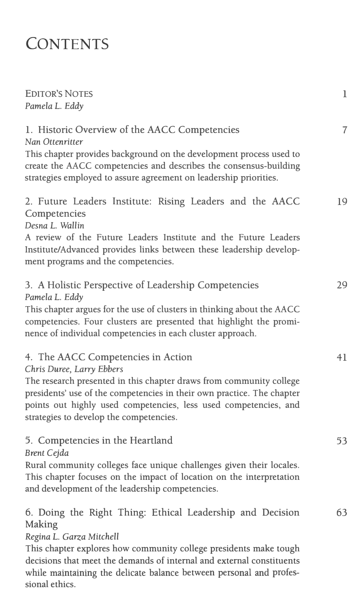# **CONTENTS**

| <b>EDITOR'S NOTES</b><br>Pamela L. Eddy                                                                                                                                                                                                                                                                                         | $\mathbf{1}$   |
|---------------------------------------------------------------------------------------------------------------------------------------------------------------------------------------------------------------------------------------------------------------------------------------------------------------------------------|----------------|
| 1. Historic Overview of the AACC Competencies<br>Nan Ottenritter<br>This chapter provides background on the development process used to<br>create the AACC competencies and describes the consensus-building<br>strategies employed to assure agreement on leadership priorities.                                               | $\overline{7}$ |
| 2. Future Leaders Institute: Rising Leaders and the AACC<br>Competencies<br>Desna L. Wallin<br>A review of the Future Leaders Institute and the Future Leaders<br>Institute/Advanced provides links between these leadership develop-<br>ment programs and the competencies.                                                    | 19             |
| 3. A Holistic Perspective of Leadership Competencies<br>Pamela L. Eddy<br>This chapter argues for the use of clusters in thinking about the AACC<br>competencies. Four clusters are presented that highlight the promi-<br>nence of individual competencies in each cluster approach.                                           | 29             |
| 4. The AACC Competencies in Action<br>Chris Duree, Larry Ebbers<br>The research presented in this chapter draws from community college<br>presidents' use of the competencies in their own practice. The chapter<br>points out highly used competencies, less used competencies, and<br>strategies to develop the competencies. | 41             |
| 5. Competencies in the Heartland<br><b>Brent Cejda</b><br>Rural community colleges face unique challenges given their locales.<br>This chapter focuses on the impact of location on the interpretation<br>and development of the leadership competencies.                                                                       | 53             |
| 6. Doing the Right Thing: Ethical Leadership and Decision<br>Making<br>Regina L. Garza Mitchell<br>This chapter explores how community college presidents make tough                                                                                                                                                            | 63             |

decisions that meet the demands of internal and external constituents while maintaining the delicate balance between personal and professional ethics.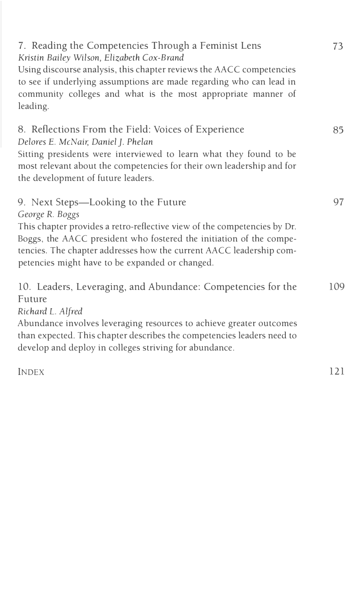| 7. Reading the Competencies Through a Feminist Lens<br>Kristin Bailey Wilson, Elizabeth Cox-Brand<br>Using discourse analysis, this chapter reviews the AACC competencies<br>to see if underlying assumptions are made regarding who can lead in<br>community colleges and what is the most appropriate manner of<br>leading.       | 73  |
|-------------------------------------------------------------------------------------------------------------------------------------------------------------------------------------------------------------------------------------------------------------------------------------------------------------------------------------|-----|
| 8. Reflections From the Field: Voices of Experience<br>Delores E. McNair, Daniel J. Phelan<br>Sitting presidents were interviewed to learn what they found to be<br>most relevant about the competencies for their own leadership and for<br>the development of future leaders.                                                     | 85  |
| 9. Next Steps—Looking to the Future<br>George R. Boggs<br>This chapter provides a retro-reflective view of the competencies by Dr.<br>Boggs, the AACC president who fostered the initiation of the compe-<br>tencies. The chapter addresses how the current AACC leadership com-<br>petencies might have to be expanded or changed. | 97  |
| 10. Leaders, Leveraging, and Abundance: Competencies for the<br>Future<br>Richard L. Alfred<br>Abundance involves leveraging resources to achieve greater outcomes<br>than expected. This chapter describes the competencies leaders need to<br>develop and deploy in colleges striving for abundance.                              | 109 |
| <b>INDEX</b>                                                                                                                                                                                                                                                                                                                        | 121 |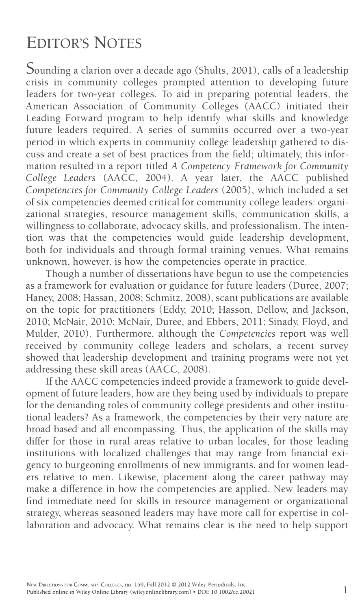# **EDITOR'S NOTES**

Sounding a clarion over a decade ago (Shults, 2001), calls of a leadership crisis in community colleges prompted attention to developing future leaders for two-year colleges. To aid in preparing potential leaders, the American Association of Community Colleges (AACC) initiated their Leading Forward program to help identify what skills and knowledge future leaders required. A series of summits occurred over a two-year period in which experts in community college leadership gathered to discuss and create a set of best practices from the field; ultimately, this information resulted in a report titled *A Competency Framework for Community* College Leaders (AACC, 2004). A year later, the AACC published *Competencies for Community College Leaders* (2005), which included a set of six competencies deemed critical for community college leaders: organizational strategies, resource management skills, communication skills, a willingness to collaborate, advocacy skills, and professionalism. The intention was that the competencies would guide leadership development, both for individuals and through formal training venues. What remains unknown, however, is how the competencies operate in practice.

Though a number of dissertations have begun to use the competencies as a framework for evaluation or guidance for future leaders (Duree, 2007; Haney, 2008; Hassan, 2008; Schmitz, 2008), scant publications are available on the topic for practitioners (Eddy, 2010; Hasson, Dellow, and Jackson, 2010; McNair, 2010; McNair, Duree, and Ebbers, 2011; Sinady, Floyd, and Mulder, 2010). Furthermore, although the *Competencies* report was well received by community college leaders and scholars, a recent survey showed that leadership development and training programs were not yet addressing these skill areas (AACC, 2008).

If the AACC competencies indeed provide a framework to guide development of future leaders, how are they being used by individuals to prepare for the demanding roles of community college presidents and other institutional leaders? As a framework, the competencies by their very nature are broad based and all encompassing. Thus, the application of the skills may differ for those in rural areas relative to urban locales, for those leading institutions with localized challenges that may range from financial exigency to burgeoning enrollments of new immigrants, and for women leaders relative to men. Likewise, placement along the career pathway may make a difference in how the competencies are applied. New leaders may find immediate need for skills in resource management or organizational strategy, whereas seasoned leaders may have more call for expertise in collaboration and advocacy. What remains clear is the need to help support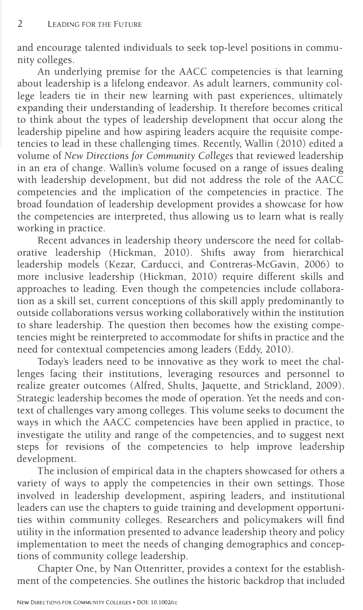and encourage talented individuals to seek top-level positions in community colleges.

An underlying premise for the AACC competencies is that learning about leadership is a lifelong endeavor. As adult learners, community college leaders tie in their new learning with past experiences, ultimately expanding their understanding of leadership. It therefore becomes critical to think about the types of leadership development that occur along the leadership pipeline and how aspiring leaders acquire the requisite competencies to lead in these challenging times. Recently, Wallin (2010) edited a volume of *New Directions for Community Colleges* that reviewed leadership in an era of change. Wallin's volume focused on a range of issues dealing with leadership development, but did not address the role of the AACC competencies and the implication of the competencies in practice. The broad foundation of leadership development provides a showcase for how the competencies are interpreted, thus allowing us to learn what is really working in practice.

Recent advances in leadership theory underscore the need for collaborative leadership (Hickman, 2010). Shifts away from hierarchical leadership models (Kezar, Carducci, and Contreras-McGavin, 2006) to more inclusive leadership (Hickman, 2010) require different skills and approaches to leading. Even though the competencies include collaboration as a skill set, current conceptions of this skill apply predominantly to outside collaborations versus working collaboratively within the institution to share leadership. The question then becomes how the existing competencies might be reinterpreted to accommodate for shifts in practice and the need for contextual competencies among leaders (Eddy, 2010).

Today's leaders need to be innovative as they work to meet the challenges facing their institutions, leveraging resources and personnel to realize greater outcomes (Alfred, Shults, Jaquette, and Strickland, 2009). Strategic leadership becomes the mode of operation. Yet the needs and context of challenges vary among colleges. This volume seeks to document the ways in which the AACC competencies have been applied in practice, to investigate the utility and range of the competencies, and to suggest next steps for revisions of the competencies to help improve leadership development.

The inclusion of empirical data in the chapters showcased for others a variety of ways to apply the competencies in their own settings. Those involved in leadership development, aspiring leaders, and institutional leaders can use the chapters to guide training and development opportunities within community colleges. Researchers and policymakers will find utility in the information presented to advance leadership theory and policy implementation to meet the needs of changing demographics and conceptions of community college leadership.

Chapter One, by Nan Ottenritter, provides a context for the establishment of the competencies. She outlines the historic backdrop that included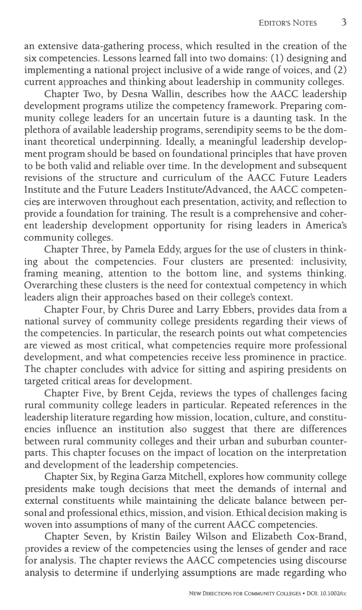an extensive data-gathering process, which resulted in the creation of the six competencies. Lessons learned fall into two domains: (1) designing and implementing a national project inclusive of a wide range of voices, and (2) current approaches and thinking about leadership in community colleges.

Chapter Two, by Desna Wallin, describes how the AACC leadership development programs utilize the competency framework. Preparing community college leaders for an uncertain future is a daunting task. In the plethora of available leadership programs, serendipity seems to be the dominant theoretical underpinning. Ideally, a meaningful leadership development program should be based on foundational principles that have proven to be both valid and reliable over time. In the development and subsequent revisions of the structure and curriculum of the AACC Future Leaders Institute and the Future Leaders Institute/Advanced, the AACC competencies are interwoven throughout each presentation, activity, and reflection to provide a foundation for training. The result is a comprehensive and coherent leadership development opportunity for rising leaders in America's community colleges.

Chapter Three, by Pamela Eddy, argues for the use of clusters in thinking about the competencies. Four clusters are presented: inclusivity, framing meaning, attention to the bottom line, and systems thinking. Overarching these clusters is the need for contextual competency in which leaders align their approaches based on their college's context.

Chapter Four, by Chris Duree and Larry Ebbers, provides data from a national survey of community college presidents regarding their views of the competencies. In particular, the research points out what competencies are viewed as most critical, what competencies require more professional development, and what competencies receive less prominence in practice. The chapter concludes with advice for sitting and aspiring presidents on targeted critical areas for development.

Chapter Five, by Brent Cejda, reviews the types of challenges facing rural community college leaders in particular. Repeated references in the leadership literature regarding how mission, location, culture, and constituencies influence an institution also suggest that there are differences between rural community colleges and their urban and suburban counterparts. This chapter focuses on the impact of location on the interpretation and development of the leadership competencies.

Chapter Six, by Regina Garza Mitchell, explores how community college presidents make tough decisions that meet the demands of internal and external constituents while maintaining the delicate balance between personal and professional ethics, mission, and vision. Ethical decision making is woven into assumptions of many of the current AACC competencies.

Chapter Seven, by Kristin Bailey Wilson and Elizabeth Cox-Brand, provides a review of the competencies using the lenses of gender and race for analysis. The chapter reviews the AACC competencies using discourse analysis to determine if underlying assumptions are made regarding who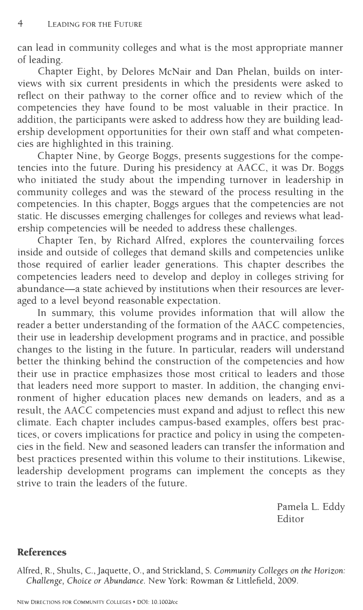can lead in community colleges and what is the most appropriate manner of leading.

Chapter Eight, by Delores McNair and Dan Phelan, builds on interviews with six current presidents in which the presidents were asked to reflect on their pathway to the corner office and to review which of the competencies they have found to be most valuable in their practice. In addition, the participants were asked to address how they are building leadership development opportunities for their own staff and what competencies are highlighted in this training.

Chapter Nine, by George Boggs, presents suggestions for the competencies into the future. During his presidency at AACC, it was Dr. Boggs who initiated the study about the impending turnover in leadership in community colleges and was the steward of the process resulting in the competencies. In this chapter, Boggs argues that the competencies are not static. He discusses emerging challenges for colleges and reviews what leadership competencies will be needed to address these challenges.

Chapter Ten, by Richard Alfred, explores the countervailing forces inside and outside of colleges that demand skills and competencies unlike those required of earlier leader generations. This chapter describes the competencies leaders need to develop and deploy in colleges striving for abundance—a state achieved by institutions when their resources are leveraged to a level beyond reasonable expectation.

In summary, this volume provides information that will allow the reader a better understanding of the formation of the AACC competencies, their use in leadership development programs and in practice, and possible changes to the listing in the future. In particular, readers will understand better the thinking behind the construction of the competencies and how their use in practice emphasizes those most critical to leaders and those that leaders need more support to master. In addition, the changing environment of higher education places new demands on leaders, and as a result, the AACC competencies must expand and adjust to reflect this new climate. Each chapter includes campus-based examples, offers best practices, or covers implications for practice and policy in using the competencies in the field. New and seasoned leaders can transfer the information and best practices presented within this volume to their institutions. Likewise, leadership development programs can implement the concepts as they strive to train the leaders of the future.

> Pamela L. Eddy Editor

## **References**

Alfred, R., Shults, C., Jaquette, 0., and Strickland, S. *Community Colleges on the Horizon: Challenge, Choice or Abundance.* New York: Rowman & Littlefield, 2009.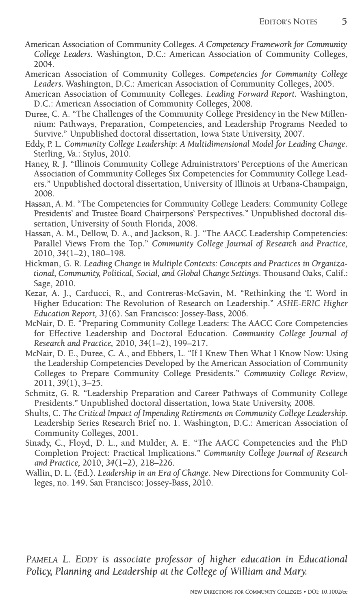- American Association of Community Colleges. *A Competency Framework for Community College Leaders.* Washington, D.C.: American Association of Community Colleges, 2004.
- American Association of Community Colleges. *Competencies for Community College Leaders.* Washington, D.C.: American Association of Community Colleges, 2005.
- American Association of Community Colleges. *Leading Forward Report.* Washington, D.C.: American Association of Community Colleges, 2008.
- Duree, C. A. "The Challenges of the Community College Presidency in the New Millennium: Pathways, Preparation, Competencies, and Leadership Programs Needed to Survive." Unpublished doctoral dissertation, Iowa State University, 2007.
- Eddy, P. L. *Community College Leadership: A Multidimensional Model for Leading Change.*  Sterling, Va.: Stylus, 2010.
- Haney, **R.** J. "Illinois Community College Administrators' Perceptions of the American Association of Community Colleges Six Competencies for Community College Leaders." Unpublished doctoral dissertation, University of Illinois at Urbana-Champaign, 2008.
- Hassan, A. M. "The Competencies for Community College Leaders: Community College Presidents' and Trustee Board Chairpersons' Perspectives." Unpublished doctoral dissertation, University of South Florida, 2008.
- Hassan, A. M., Dellow, D. A., and Jackson, **R.** J. "The AACC Leadership Competencies: Parallel Views From the Top." *Community College Journal of Research and Practice,*  2010,34(1-2), 180-198.
- Hickman, G. **R.** *Leading Change* in *Multiple Contexts: Concepts and Practices* in *Organizational, Community, Political, Social, and Global Change Settings.* Thousand Oaks, Calif.: Sage, 2010.
- Kezar, A. *].,* Carducci, **R.,** and Contreras-McGavin, M. "Rethinking the 'L Word in Higher Education: The Revolution of Research on Leadership." *ASHE-ERIC Higher Education Report, 31* (6). San Francisco: Jossey-Bass, 2006.
- McNair, D. E. "Preparing Community College Leaders: The AACC Core Competencies for Effective Leadership and Doctoral Education. *Community College Journal of Research and Practice,* 2010, 34(1-2), 199-217.
- McNair, D. E., Duree, C. A., and Ebbers, L. "If I Knew Then What I Know Now: Using the Leadership Competencies Developed by the American Association of Community Colleges to Prepare Community College Presidents." *Community College* Review, 2011, 39(1), 3-25.
- Schmitz, G. **R.** "Leadership Preparation and Career Pathways of Community College Presidents." Unpublished doctoral dissertation, Iowa State University, 2008.
- Shults, C. *The Critical Impact of Impending Retirements on Community College Leadership.*  Leadership Series Research Brief no. 1. Washington, D.C.: American Association of Community Colleges, 2001.
- Sinady, C., Floyd, D. L., and Mulder, A. E. "The AACC Competencies and the PhD Completion Project: Practical Implications." *Community College Journal of Research and Practice,* 2010, 34(1-2), 218-226.
- Wallin, D. L. (Ed.). *Leadership in an Era of Change.* New Directions for Community Colleges, no. 149. San Francisco: Jossey-Bass, 2010.

PAMELA *L. EDDY* is *associate professor of higher education in Educational Policy, Planning and Leadership at the College of William and Mary.*